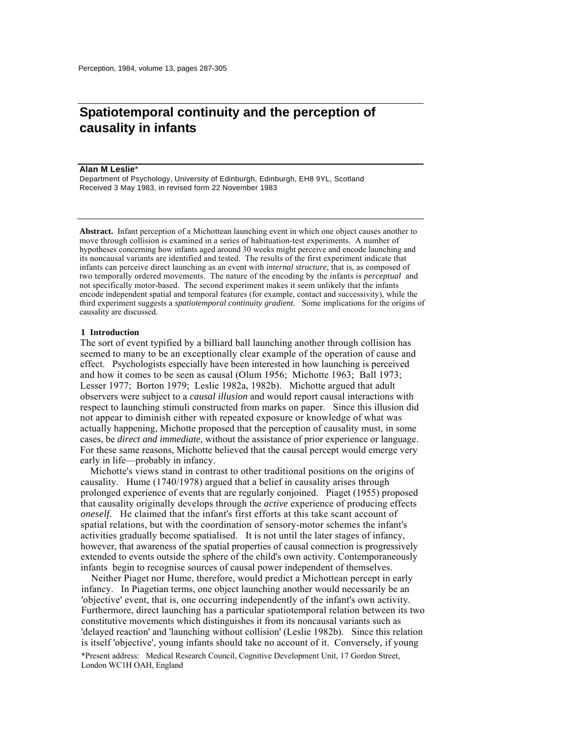# **Spatiotemporal continuity and the perception of causality in infants**

#### **Alan M Leslie**\*

Department of Psychology, University of Edinburgh, Edinburgh, EH8 9YL, Scotland Received 3 May 1983, in revised form 22 November 1983

**Abstract.** Infant perception of a Michottean launching event in which one object causes another to move through collision is examined in a series of habituation-test experiments. A number of hypotheses concerning how infants aged around 30 weeks might perceive and encode launching and its noncausal variants are identified and tested. The results of the first experiment indicate that infants can perceive direct launching as an event with *internal structure,* that is, as composed of two temporally ordered movements. The nature of the encoding by the infants is *perceptual* and not specifically motor-based. The second experiment makes it seem unlikely that the infants encode independent spatial and temporal features (for example, contact and successivity), while the third experiment suggests a *spatiotemporal continuity gradient.* Some implications for the origins of causality are discussed.

# **1 Introduction**

The sort of event typified by a billiard ball launching another through collision has seemed to many to be an exceptionally clear example of the operation of cause and effect. Psychologists especially have been interested in how launching is perceived and how it comes to be seen as causal (Olum 1956; Michotte 1963; Ball 1973; Lesser 1977; Borton 1979; Leslie 1982a, 1982b). Michotte argued that adult observers were subject to a *causal illusion* and would report causal interactions with respect to launching stimuli constructed from marks on paper. Since this illusion did not appear to diminish either with repeated exposure or knowledge of what was actually happening, Michotte proposed that the perception of causality must, in some cases, be *direct and immediate,* without the assistance of prior experience or language. For these same reasons, Michotte believed that the causal percept would emerge very early in life—probably in infancy.

Michotte's views stand in contrast to other traditional positions on the origins of causality. Hume (1740/1978) argued that a belief in causality arises through prolonged experience of events that are regularly conjoined. Piaget (1955) proposed that causality originally develops through the *active* experience of producing effects *oneself.* He claimed that the infant's first efforts at this take scant account of spatial relations, but with the coordination of sensory-motor schemes the infant's activities gradually become spatialised. It is not until the later stages of infancy, however, that awareness of the spatial properties of causal connection is progressively extended to events outside the sphere of the child's own activity. Contemporaneously infants begin to recognise sources of causal power independent of themselves.

Neither Piaget nor Hume, therefore, would predict a Michottean percept in early infancy. In Piagetian terms, one object launching another would necessarily be an 'objective' event, that is, one occurring independently of the infant's own activity. Furthermore, direct launching has a particular spatiotemporal relation between its two constitutive movements which distinguishes it from its noncausal variants such as 'delayed reaction' and 'launching without collision' (Leslie 1982b). Since this relation is itself 'objective', young infants should take no account of it. Conversely, if young

\*Present address: Medical Research Council, Cognitive Development Unit, 17 Gordon Street, London WC1H OAH, England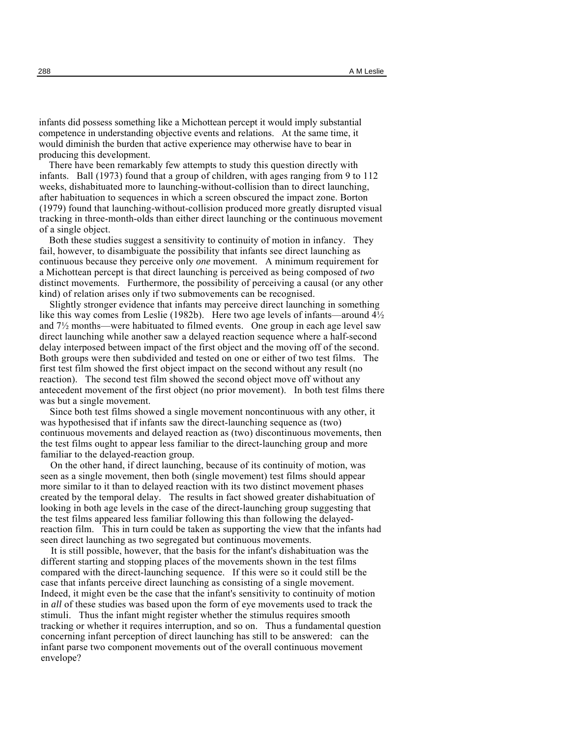infants did possess something like a Michottean percept it would imply substantial competence in understanding objective events and relations. At the same time, it would diminish the burden that active experience may otherwise have to bear in producing this development.

There have been remarkably few attempts to study this question directly with infants. Ball (1973) found that a group of children, with ages ranging from 9 to 112 weeks, dishabituated more to launching-without-collision than to direct launching, after habituation to sequences in which a screen obscured the impact zone. Borton (1979) found that launching-without-collision produced more greatly disrupted visual tracking in three-month-olds than either direct launching or the continuous movement of a single object.

Both these studies suggest a sensitivity to continuity of motion in infancy. They fail, however, to disambiguate the possibility that infants see direct launching as continuous because they perceive only *one* movement. A minimum requirement for a Michottean percept is that direct launching is perceived as being composed of *two*  distinct movements. Furthermore, the possibility of perceiving a causal (or any other kind) of relation arises only if two submovements can be recognised.

Slightly stronger evidence that infants may perceive direct launching in something like this way comes from Leslie (1982b). Here two age levels of infants—around 4½ and 7½ months—were habituated to filmed events. One group in each age level saw direct launching while another saw a delayed reaction sequence where a half-second delay interposed between impact of the first object and the moving off of the second. Both groups were then subdivided and tested on one or either of two test films. The first test film showed the first object impact on the second without any result (no reaction). The second test film showed the second object move off without any antecedent movement of the first object (no prior movement). In both test films there was but a single movement.

Since both test films showed a single movement noncontinuous with any other, it was hypothesised that if infants saw the direct-launching sequence as (two) continuous movements and delayed reaction as (two) discontinuous movements, then the test films ought to appear less familiar to the direct-launching group and more familiar to the delayed-reaction group.

On the other hand, if direct launching, because of its continuity of motion, was seen as a single movement, then both (single movement) test films should appear more similar to it than to delayed reaction with its two distinct movement phases created by the temporal delay. The results in fact showed greater dishabituation of looking in both age levels in the case of the direct-launching group suggesting that the test films appeared less familiar following this than following the delayedreaction film. This in turn could be taken as supporting the view that the infants had seen direct launching as two segregated but continuous movements.

It is still possible, however, that the basis for the infant's dishabituation was the different starting and stopping places of the movements shown in the test films compared with the direct-launching sequence. If this were so it could still be the case that infants perceive direct launching as consisting of a single movement. Indeed, it might even be the case that the infant's sensitivity to continuity of motion in *all* of these studies was based upon the form of eye movements used to track the stimuli. Thus the infant might register whether the stimulus requires smooth tracking or whether it requires interruption, and so on. Thus a fundamental question concerning infant perception of direct launching has still to be answered: can the infant parse two component movements out of the overall continuous movement envelope?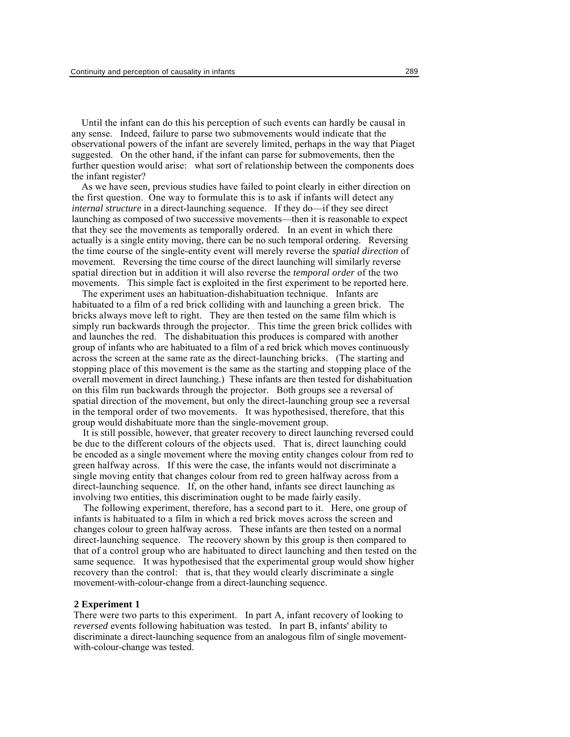Until the infant can do this his perception of such events can hardly be causal in any sense. Indeed, failure to parse two submovements would indicate that the observational powers of the infant are severely limited, perhaps in the way that Piaget suggested. On the other hand, if the infant can parse for submovements, then the further question would arise: what sort of relationship between the components does the infant register?

As we have seen, previous studies have failed to point clearly in either direction on the first question. One way to formulate this is to ask if infants will detect any *internal structure* in a direct-launching sequence. If they do—if they see direct launching as composed of two successive movements—then it is reasonable to expect that they see the movements as temporally ordered. In an event in which there actually is a single entity moving, there can be no such temporal ordering. Reversing the time course of the single-entity event will merely reverse the *spatial direction* of movement. Reversing the time course of the direct launching will similarly reverse spatial direction but in addition it will also reverse the *temporal order* of the two movements. This simple fact is exploited in the first experiment to be reported here.

The experiment uses an habituation-dishabituation technique. Infants are habituated to a film of a red brick colliding with and launching a green brick. The bricks always move left to right. They are then tested on the same film which is simply run backwards through the projector. This time the green brick collides with and launches the red. The dishabituation this produces is compared with another group of infants who are habituated to a film of a red brick which moves continuously across the screen at the same rate as the direct-launching bricks. (The starting and stopping place of this movement is the same as the starting and stopping place of the overall movement in direct launching.) These infants are then tested for dishabituation on this film run backwards through the projector. Both groups see a reversal of spatial direction of the movement, but only the direct-launching group see a reversal in the temporal order of two movements. It was hypothesised, therefore, that this group would dishabituate more than the single-movement group.

It is still possible, however, that greater recovery to direct launching reversed could be due to the different colours of the objects used. That is, direct launching could be encoded as a single movement where the moving entity changes colour from red to green halfway across. If this were the case, the infants would not discriminate a single moving entity that changes colour from red to green halfway across from a direct-launching sequence. If, on the other hand, infants see direct launching as involving two entities, this discrimination ought to be made fairly easily.

The following experiment, therefore, has a second part to it. Here, one group of infants is habituated to a film in which a red brick moves across the screen and changes colour to green halfway across. These infants are then tested on a normal direct-launching sequence. The recovery shown by this group is then compared to that of a control group who are habituated to direct launching and then tested on the same sequence. It was hypothesised that the experimental group would show higher recovery than the control: that is, that they would clearly discriminate a single movement-with-colour-change from a direct-launching sequence.

## **2 Experiment 1**

There were two parts to this experiment. In part A, infant recovery of looking to *reversed* events following habituation was tested. In part B, infants' ability to discriminate a direct-launching sequence from an analogous film of single movementwith-colour-change was tested.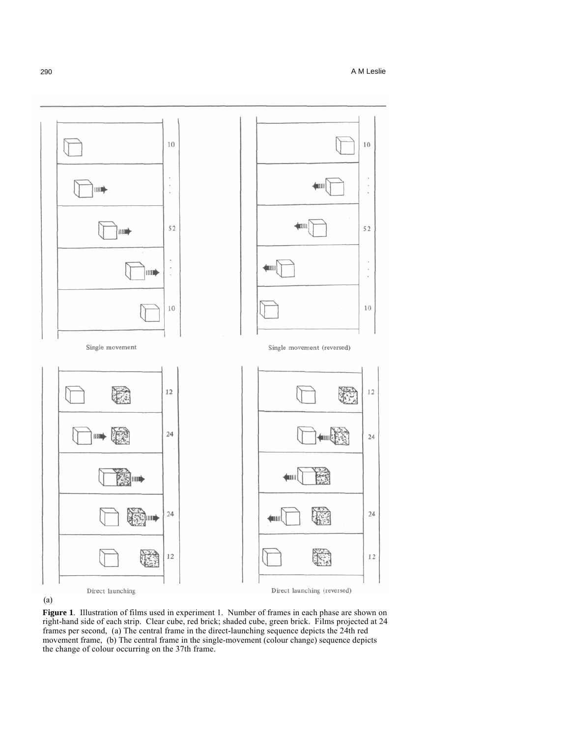#### 290 A M Leslie





**Figure 1**. Illustration of films used in experiment 1. Number of frames in each phase are shown on right-hand side of each strip. Clear cube, red brick; shaded cube, green brick. Films projected at 24 frames per second, (a) The central frame in the direct-launching sequence depicts the 24th red movement frame, (b) The central frame in the single-movement (colour change) sequence depicts the change of colour occurring on the 37th frame.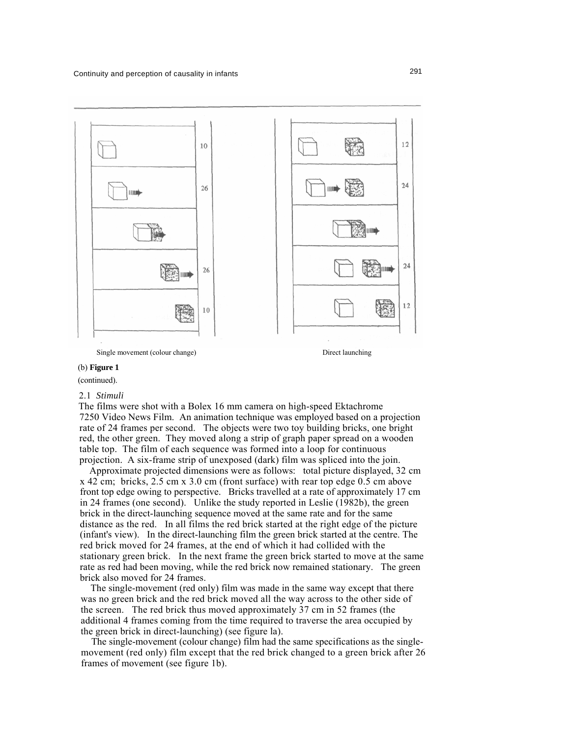

# (continued).

# 2.1 *Stimuli*

The films were shot with a Bolex 16 mm camera on high-speed Ektachrome 7250 Video News Film. An animation technique was employed based on a projection rate of 24 frames per second. The objects were two toy building bricks, one bright red, the other green. They moved along a strip of graph paper spread on a wooden table top. The film of each sequence was formed into a loop for continuous projection. A six-frame strip of unexposed (dark) film was spliced into the join.

Approximate projected dimensions were as follows: total picture displayed, 32 cm x 42 cm; bricks, 2.5 cm x 3.0 cm (front surface) with rear top edge 0.5 cm above front top edge owing to perspective. Bricks travelled at a rate of approximately 17 cm in 24 frames (one second). Unlike the study reported in Leslie (1982b), the green brick in the direct-launching sequence moved at the same rate and for the same distance as the red. In all films the red brick started at the right edge of the picture (infant's view). In the direct-launching film the green brick started at the centre. The red brick moved for 24 frames, at the end of which it had collided with the stationary green brick. In the next frame the green brick started to move at the same rate as red had been moving, while the red brick now remained stationary. The green brick also moved for 24 frames.

The single-movement (red only) film was made in the same way except that there was no green brick and the red brick moved all the way across to the other side of the screen. The red brick thus moved approximately 37 cm in 52 frames (the additional 4 frames coming from the time required to traverse the area occupied by the green brick in direct-launching) (see figure la).

The single-movement (colour change) film had the same specifications as the singlemovement (red only) film except that the red brick changed to a green brick after 26 frames of movement (see figure 1b).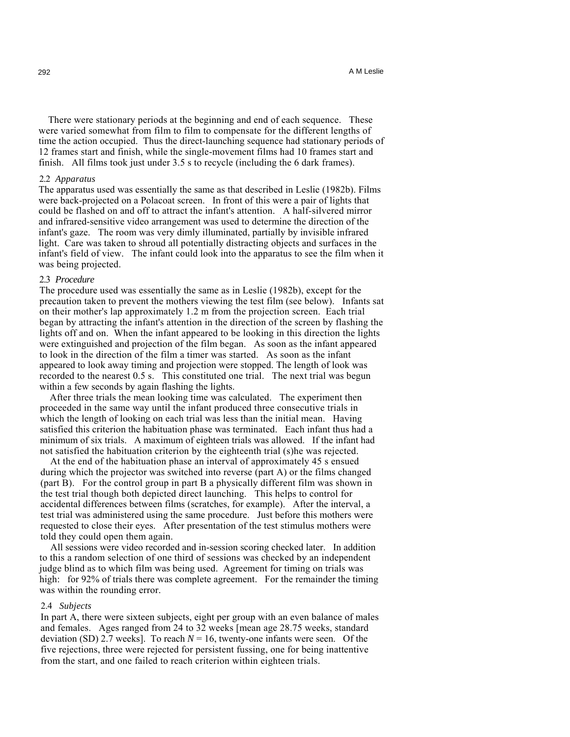There were stationary periods at the beginning and end of each sequence. These were varied somewhat from film to film to compensate for the different lengths of time the action occupied. Thus the direct-launching sequence had stationary periods of 12 frames start and finish, while the single-movement films had 10 frames start and finish. All films took just under 3.5 s to recycle (including the 6 dark frames).

# 2.2 *Apparatus*

The apparatus used was essentially the same as that described in Leslie (1982b). Films were back-projected on a Polacoat screen. In front of this were a pair of lights that could be flashed on and off to attract the infant's attention. A half-silvered mirror and infrared-sensitive video arrangement was used to determine the direction of the infant's gaze. The room was very dimly illuminated, partially by invisible infrared light. Care was taken to shroud all potentially distracting objects and surfaces in the infant's field of view. The infant could look into the apparatus to see the film when it was being projected.

### 2.3 *Procedure*

The procedure used was essentially the same as in Leslie (1982b), except for the precaution taken to prevent the mothers viewing the test film (see below). Infants sat on their mother's lap approximately 1.2 m from the projection screen. Each trial began by attracting the infant's attention in the direction of the screen by flashing the lights off and on. When the infant appeared to be looking in this direction the lights were extinguished and projection of the film began. As soon as the infant appeared to look in the direction of the film a timer was started. As soon as the infant appeared to look away timing and projection were stopped. The length of look was recorded to the nearest 0.5 s. This constituted one trial. The next trial was begun within a few seconds by again flashing the lights.

After three trials the mean looking time was calculated. The experiment then proceeded in the same way until the infant produced three consecutive trials in which the length of looking on each trial was less than the initial mean. Having satisfied this criterion the habituation phase was terminated. Each infant thus had a minimum of six trials. A maximum of eighteen trials was allowed. If the infant had not satisfied the habituation criterion by the eighteenth trial (s)he was rejected.

At the end of the habituation phase an interval of approximately 45 s ensued during which the projector was switched into reverse (part A) or the films changed (part B). For the control group in part B a physically different film was shown in the test trial though both depicted direct launching. This helps to control for accidental differences between films (scratches, for example). After the interval, a test trial was administered using the same procedure. Just before this mothers were requested to close their eyes. After presentation of the test stimulus mothers were told they could open them again.

All sessions were video recorded and in-session scoring checked later. In addition to this a random selection of one third of sessions was checked by an independent judge blind as to which film was being used. Agreement for timing on trials was high: for 92% of trials there was complete agreement. For the remainder the timing was within the rounding error.

#### 2.4 *Subjects*

In part A, there were sixteen subjects, eight per group with an even balance of males and females. Ages ranged from 24 to 32 weeks [mean age 28.75 weeks, standard deviation (SD) 2.7 weeks]. To reach  $N = 16$ , twenty-one infants were seen. Of the five rejections, three were rejected for persistent fussing, one for being inattentive from the start, and one failed to reach criterion within eighteen trials.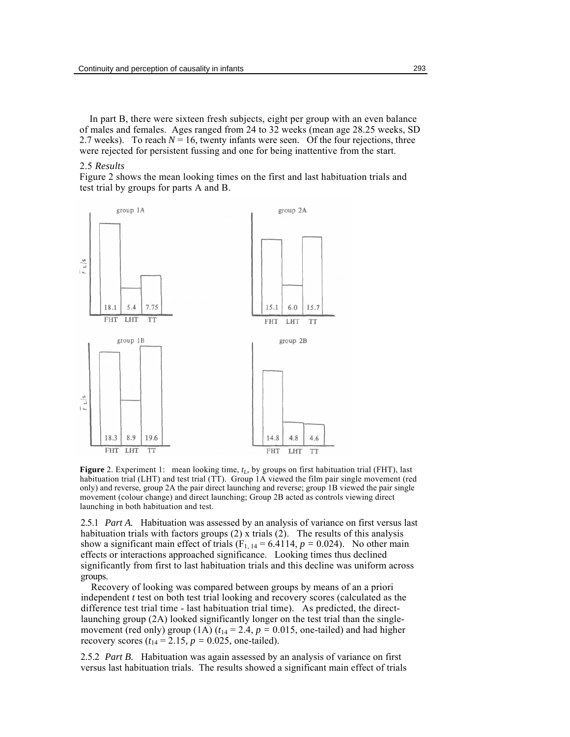In part B, there were sixteen fresh subjects, eight per group with an even balance of males and females. Ages ranged from 24 to 32 weeks (mean age 28.25 weeks, SD 2.7 weeks). To reach  $N = 16$ , twenty infants were seen. Of the four rejections, three were rejected for persistent fussing and one for being inattentive from the start.

#### 2.5 *Results*

Figure 2 shows the mean looking times on the first and last habituation trials and test trial by groups for parts A and B.



**Figure** 2. Experiment 1: mean looking time,  $t_L$ , by groups on first habituation trial (FHT), last habituation trial (LHT) and test trial (TT). Group 1A viewed the film pair single movement (red only) and reverse, group 2A the pair direct launching and reverse; group 1B viewed the pair single movement (colour change) and direct launching; Group 2B acted as controls viewing direct launching in both habituation and test.

2.5.1 *Part A.* Habituation was assessed by an analysis of variance on first versus last habituation trials with factors groups (2) x trials (2). The results of this analysis show a significant main effect of trials ( $F_{1, 14} = 6.4114$ ,  $p = 0.024$ ). No other main effects or interactions approached significance. Looking times thus declined significantly from first to last habituation trials and this decline was uniform across groups.

Recovery of looking was compared between groups by means of an a priori independent *t* test on both test trial looking and recovery scores (calculated as the difference test trial time - last habituation trial time). As predicted, the directlaunching group (2A) looked significantly longer on the test trial than the singlemovement (red only) group (1A)  $(t_{14} = 2.4, p = 0.015,$  one-tailed) and had higher recovery scores ( $t_{14} = 2.15$ ,  $p = 0.025$ , one-tailed).

2.5.2 *Part B.* Habituation was again assessed by an analysis of variance on first versus last habituation trials. The results showed a significant main effect of trials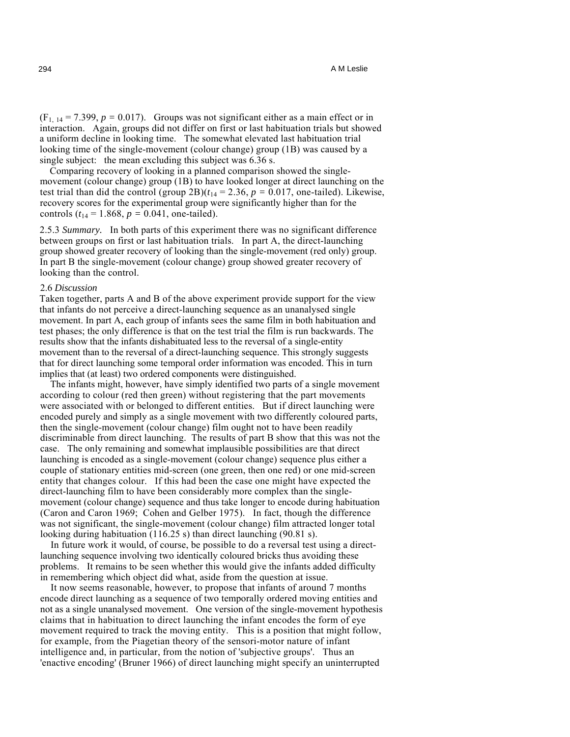$(F<sub>1, 14</sub> = 7.399, p = 0.017)$ . Groups was not significant either as a main effect or in interaction. Again, groups did not differ on first or last habituation trials but showed a uniform decline in looking time. The somewhat elevated last habituation trial looking time of the single-movement (colour change) group (1B) was caused by a single subject: the mean excluding this subject was 6.36 s.

Comparing recovery of looking in a planned comparison showed the singlemovement (colour change) group (1B) to have looked longer at direct launching on the test trial than did the control (group  $2B(t_{14} = 2.36, p = 0.017, \text{one-tailed})$ ). Likewise, recovery scores for the experimental group were significantly higher than for the controls  $(t_{14} = 1.868, p = 0.041,$  one-tailed).

2.5.3 *Summary.* In both parts of this experiment there was no significant difference between groups on first or last habituation trials. In part A, the direct-launching group showed greater recovery of looking than the single-movement (red only) group. In part B the single-movement (colour change) group showed greater recovery of looking than the control.

# 2.6 *Discussion*

Taken together, parts A and B of the above experiment provide support for the view that infants do not perceive a direct-launching sequence as an unanalysed single movement. In part A, each group of infants sees the same film in both habituation and test phases; the only difference is that on the test trial the film is run backwards. The results show that the infants dishabituated less to the reversal of a single-entity movement than to the reversal of a direct-launching sequence. This strongly suggests that for direct launching some temporal order information was encoded. This in turn implies that (at least) two ordered components were distinguished.

The infants might, however, have simply identified two parts of a single movement according to colour (red then green) without registering that the part movements were associated with or belonged to different entities. But if direct launching were encoded purely and simply as a single movement with two differently coloured parts, then the single-movement (colour change) film ought not to have been readily discriminable from direct launching. The results of part B show that this was not the case. The only remaining and somewhat implausible possibilities are that direct launching is encoded as a single-movement (colour change) sequence plus either a couple of stationary entities mid-screen (one green, then one red) or one mid-screen entity that changes colour. If this had been the case one might have expected the direct-launching film to have been considerably more complex than the singlemovement (colour change) sequence and thus take longer to encode during habituation (Caron and Caron 1969; Cohen and Gelber 1975). In fact, though the difference was not significant, the single-movement (colour change) film attracted longer total looking during habituation (116.25 s) than direct launching (90.81 s).

In future work it would, of course, be possible to do a reversal test using a directlaunching sequence involving two identically coloured bricks thus avoiding these problems. It remains to be seen whether this would give the infants added difficulty in remembering which object did what, aside from the question at issue.

It now seems reasonable, however, to propose that infants of around 7 months encode direct launching as a sequence of two temporally ordered moving entities and not as a single unanalysed movement. One version of the single-movement hypothesis claims that in habituation to direct launching the infant encodes the form of eye movement required to track the moving entity. This is a position that might follow, for example, from the Piagetian theory of the sensori-motor nature of infant intelligence and, in particular, from the notion of 'subjective groups'. Thus an 'enactive encoding' (Bruner 1966) of direct launching might specify an uninterrupted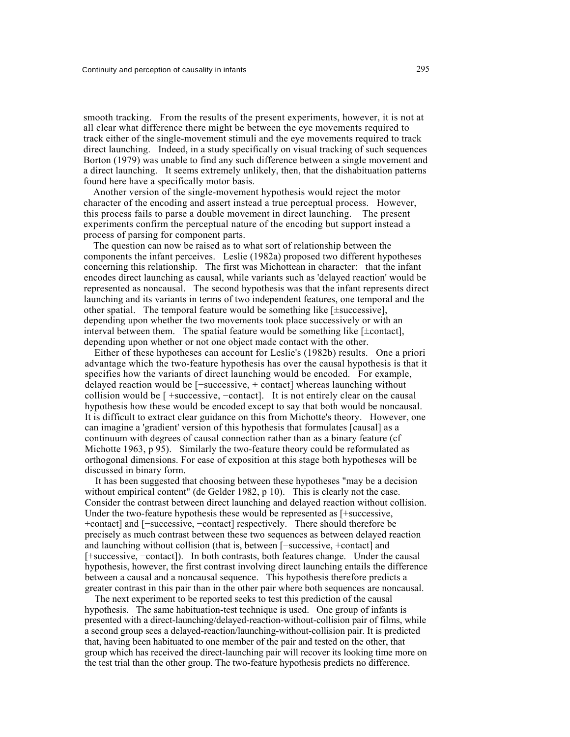smooth tracking. From the results of the present experiments, however, it is not at all clear what difference there might be between the eye movements required to track either of the single-movement stimuli and the eye movements required to track direct launching. Indeed, in a study specifically on visual tracking of such sequences Borton (1979) was unable to find any such difference between a single movement and a direct launching. It seems extremely unlikely, then, that the dishabituation patterns found here have a specifically motor basis.

Another version of the single-movement hypothesis would reject the motor character of the encoding and assert instead a true perceptual process. However, this process fails to parse a double movement in direct launching. The present experiments confirm the perceptual nature of the encoding but support instead a process of parsing for component parts.

The question can now be raised as to what sort of relationship between the components the infant perceives. Leslie (1982a) proposed two different hypotheses concerning this relationship. The first was Michottean in character: that the infant encodes direct launching as causal, while variants such as 'delayed reaction' would be represented as noncausal. The second hypothesis was that the infant represents direct launching and its variants in terms of two independent features, one temporal and the other spatial. The temporal feature would be something like [±successive], depending upon whether the two movements took place successively or with an interval between them. The spatial feature would be something like  $[\pm \text{contact}]$ , depending upon whether or not one object made contact with the other.

Either of these hypotheses can account for Leslie's (1982b) results. One a priori advantage which the two-feature hypothesis has over the causal hypothesis is that it specifies how the variants of direct launching would be encoded. For example, delayed reaction would be [−successive, + contact] whereas launching without collision would be [ +successive, −contact]. It is not entirely clear on the causal hypothesis how these would be encoded except to say that both would be noncausal. It is difficult to extract clear guidance on this from Michotte's theory. However, one can imagine a 'gradient' version of this hypothesis that formulates [causal] as a continuum with degrees of causal connection rather than as a binary feature (cf Michotte 1963, p 95). Similarly the two-feature theory could be reformulated as orthogonal dimensions. For ease of exposition at this stage both hypotheses will be discussed in binary form.

It has been suggested that choosing between these hypotheses "may be a decision without empirical content" (de Gelder 1982, p 10). This is clearly not the case. Consider the contrast between direct launching and delayed reaction without collision. Under the two-feature hypothesis these would be represented as  $[+successive]$ . +contact] and [−successive, −contact] respectively. There should therefore be precisely as much contrast between these two sequences as between delayed reaction and launching without collision (that is, between [−successive, +contact] and [+successive, −contact]). In both contrasts, both features change. Under the causal hypothesis, however, the first contrast involving direct launching entails the difference between a causal and a noncausal sequence. This hypothesis therefore predicts a greater contrast in this pair than in the other pair where both sequences are noncausal.

The next experiment to be reported seeks to test this prediction of the causal hypothesis. The same habituation-test technique is used. One group of infants is presented with a direct-launching/delayed-reaction-without-collision pair of films, while a second group sees a delayed-reaction/launching-without-collision pair. It is predicted that, having been habituated to one member of the pair and tested on the other, that group which has received the direct-launching pair will recover its looking time more on the test trial than the other group. The two-feature hypothesis predicts no difference.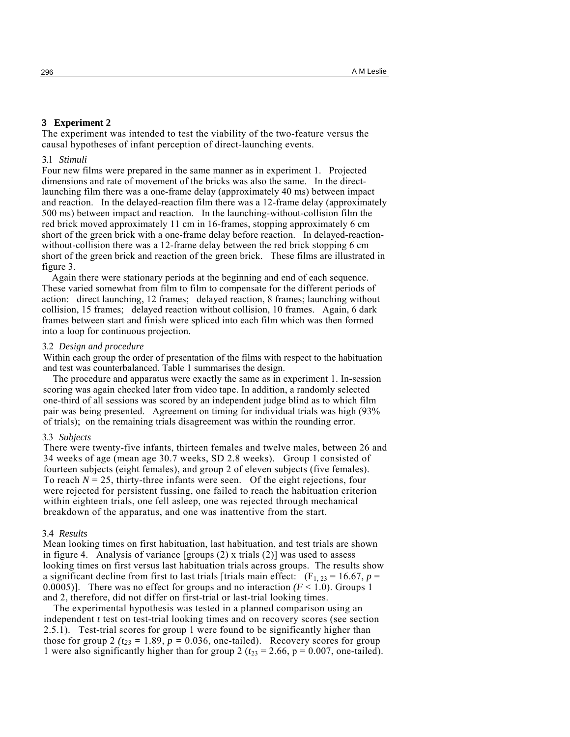# **3 Experiment 2**

The experiment was intended to test the viability of the two-feature versus the causal hypotheses of infant perception of direct-launching events.

# 3.1 *Stimuli*

Four new films were prepared in the same manner as in experiment 1. Projected dimensions and rate of movement of the bricks was also the same. In the directlaunching film there was a one-frame delay (approximately 40 ms) between impact and reaction. In the delayed-reaction film there was a 12-frame delay (approximately 500 ms) between impact and reaction. In the launching-without-collision film the red brick moved approximately 11 cm in 16-frames, stopping approximately 6 cm short of the green brick with a one-frame delay before reaction. In delayed-reactionwithout-collision there was a 12-frame delay between the red brick stopping 6 cm short of the green brick and reaction of the green brick. These films are illustrated in figure 3.

Again there were stationary periods at the beginning and end of each sequence. These varied somewhat from film to film to compensate for the different periods of action: direct launching, 12 frames; delayed reaction, 8 frames; launching without collision, 15 frames; delayed reaction without collision, 10 frames. Again, 6 dark frames between start and finish were spliced into each film which was then formed into a loop for continuous projection.

## 3.2 *Design and procedure*

Within each group the order of presentation of the films with respect to the habituation and test was counterbalanced. Table 1 summarises the design.

The procedure and apparatus were exactly the same as in experiment 1. In-session scoring was again checked later from video tape. In addition, a randomly selected one-third of all sessions was scored by an independent judge blind as to which film pair was being presented. Agreement on timing for individual trials was high (93% of trials); on the remaining trials disagreement was within the rounding error.

## 3.3 *Subjects*

There were twenty-five infants, thirteen females and twelve males, between 26 and 34 weeks of age (mean age 30.7 weeks, SD 2.8 weeks). Group 1 consisted of fourteen subjects (eight females), and group 2 of eleven subjects (five females). To reach  $N = 25$ , thirty-three infants were seen. Of the eight rejections, four were rejected for persistent fussing, one failed to reach the habituation criterion within eighteen trials, one fell asleep, one was rejected through mechanical breakdown of the apparatus, and one was inattentive from the start.

# 3.4 *Results*

Mean looking times on first habituation, last habituation, and test trials are shown in figure 4. Analysis of variance  $\lceil$  groups (2) x trials (2) was used to assess looking times on first versus last habituation trials across groups. The results show a significant decline from first to last trials [trials main effect:  $(F_{1, 23} = 16.67, p =$ 0.0005)]. There was no effect for groups and no interaction  $(F < 1.0)$ . Groups 1 and 2, therefore, did not differ on first-trial or last-trial looking times.

The experimental hypothesis was tested in a planned comparison using an independent *t* test on test-trial looking times and on recovery scores (see section 2.5.1). Test-trial scores for group 1 were found to be significantly higher than those for group 2  $(t_{23} = 1.89, p = 0.036,$  one-tailed). Recovery scores for group 1 were also significantly higher than for group 2 ( $t_{23} = 2.66$ , p = 0.007, one-tailed).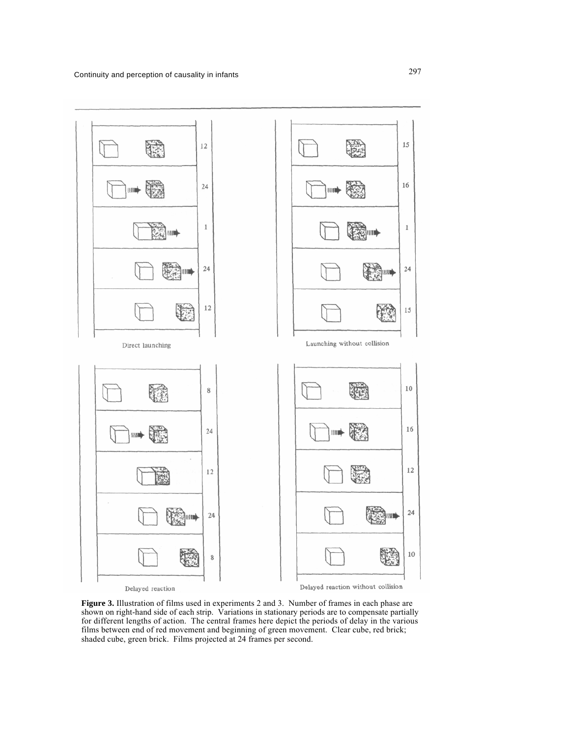

**Figure 3.** Illustration of films used in experiments 2 and 3. Number of frames in each phase are shown on right-hand side of each strip. Variations in stationary periods are to compensate partially for different lengths of action. The central frames here depict the periods of delay in the various films between end of red movement and beginning of green movement. Clear cube, red brick; shaded cube, green brick. Films projected at 24 frames per second.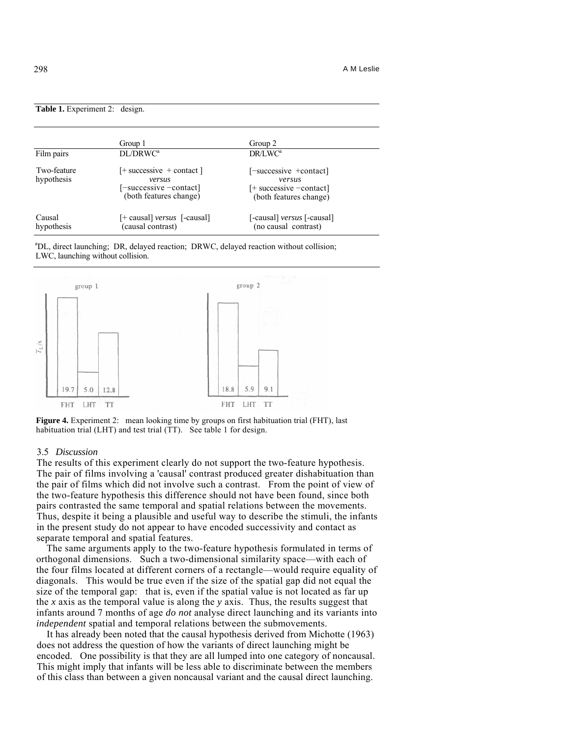# **Table 1.** Experiment 2: design.

|                           | Group 1                                                                                     | Group 2                                                                                       |  |
|---------------------------|---------------------------------------------------------------------------------------------|-----------------------------------------------------------------------------------------------|--|
| Film pairs                | DL/DRWC <sup>a</sup>                                                                        | DR/LMC <sup>a</sup>                                                                           |  |
| Two-feature<br>hypothesis | $[+$ successive $+$ contact ]<br>versus<br>[-successive -contact]<br>(both features change) | $[-successive + contact]$<br>versus<br>$[+$ successive $-$ contact]<br>(both features change) |  |
| Causal<br>hypothesis      | $[+$ causal] <i>versus</i> [-causal]<br>(causal contrast)                                   | [-causal] <i>versus</i> [-causal]<br>(no causal contrast)                                     |  |

<sup>a</sup>DL, direct launching; DR, delayed reaction; DRWC, delayed reaction without collision; LWC, launching without collision.



**Figure 4.** Experiment 2: mean looking time by groups on first habituation trial (FHT), last habituation trial (LHT) and test trial (TT). See table 1 for design.

### 3.5 *Discussion*

The results of this experiment clearly do not support the two-feature hypothesis. The pair of films involving a 'causal' contrast produced greater dishabituation than the pair of films which did not involve such a contrast. From the point of view of the two-feature hypothesis this difference should not have been found, since both pairs contrasted the same temporal and spatial relations between the movements. Thus, despite it being a plausible and useful way to describe the stimuli, the infants in the present study do not appear to have encoded successivity and contact as separate temporal and spatial features.

The same arguments apply to the two-feature hypothesis formulated in terms of orthogonal dimensions. Such a two-dimensional similarity space—with each of the four films located at different corners of a rectangle—would require equality of diagonals. This would be true even if the size of the spatial gap did not equal the size of the temporal gap: that is, even if the spatial value is not located as far up the *x* axis as the temporal value is along the *y* axis. Thus, the results suggest that infants around 7 months of age *do not* analyse direct launching and its variants into *independent* spatial and temporal relations between the submovements.

It has already been noted that the causal hypothesis derived from Michotte (1963) does not address the question of how the variants of direct launching might be encoded. One possibility is that they are all lumped into one category of noncausal. This might imply that infants will be less able to discriminate between the members of this class than between a given noncausal variant and the causal direct launching.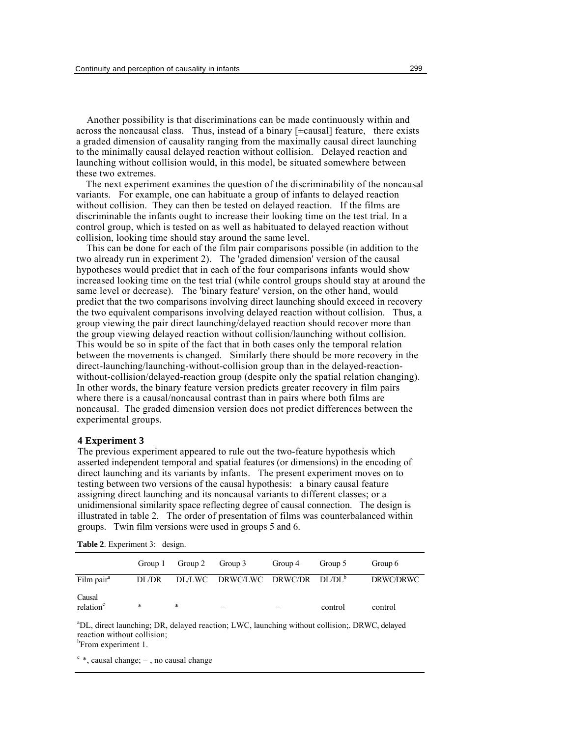Another possibility is that discriminations can be made continuously within and across the noncausal class. Thus, instead of a binary  $[ \pm \text{causal} ]$  feature, there exists a graded dimension of causality ranging from the maximally causal direct launching to the minimally causal delayed reaction without collision. Delayed reaction and launching without collision would, in this model, be situated somewhere between these two extremes.

The next experiment examines the question of the discriminability of the noncausal variants. For example, one can habituate a group of infants to delayed reaction without collision. They can then be tested on delayed reaction. If the films are discriminable the infants ought to increase their looking time on the test trial. In a control group, which is tested on as well as habituated to delayed reaction without collision, looking time should stay around the same level.

This can be done for each of the film pair comparisons possible (in addition to the two already run in experiment 2). The 'graded dimension' version of the causal hypotheses would predict that in each of the four comparisons infants would show increased looking time on the test trial (while control groups should stay at around the same level or decrease). The 'binary feature' version, on the other hand, would predict that the two comparisons involving direct launching should exceed in recovery the two equivalent comparisons involving delayed reaction without collision. Thus, a group viewing the pair direct launching/delayed reaction should recover more than the group viewing delayed reaction without collision/launching without collision. This would be so in spite of the fact that in both cases only the temporal relation between the movements is changed. Similarly there should be more recovery in the direct-launching/launching-without-collision group than in the delayed-reactionwithout-collision/delayed-reaction group (despite only the spatial relation changing). In other words, the binary feature version predicts greater recovery in film pairs where there is a causal/noncausal contrast than in pairs where both films are noncausal. The graded dimension version does not predict differences between the experimental groups.

# **4 Experiment 3**

The previous experiment appeared to rule out the two-feature hypothesis which asserted independent temporal and spatial features (or dimensions) in the encoding of direct launching and its variants by infants. The present experiment moves on to testing between two versions of the causal hypothesis: a binary causal feature assigning direct launching and its noncausal variants to different classes; or a unidimensional similarity space reflecting degree of causal connection. The design is illustrated in table 2. The order of presentation of films was counterbalanced within groups. Twin film versions were used in groups 5 and 6.

|  |  | <b>Table 2.</b> Experiment 3: design. |  |
|--|--|---------------------------------------|--|
|--|--|---------------------------------------|--|

|                                 | Group 1 | Group 2 Group 3 |                                                  | Group 4 | Group 5 | Group 6   |
|---------------------------------|---------|-----------------|--------------------------------------------------|---------|---------|-----------|
| Film pair <sup>a</sup>          |         |                 | DL/DR DL/LWC DRWC/LWC DRWC/DR DL/DL <sup>b</sup> |         |         | DRWC/DRWC |
| Causal<br>relation <sup>c</sup> | $\ast$  | *               | $\overline{\phantom{a}}$                         | -       | control | control   |

<sup>a</sup>DL, direct launching; DR, delayed reaction; LWC, launching without collision;. DRWC, delayed reaction without collision; b

<sup>b</sup>From experiment 1.

c \*, causal change; − , no causal change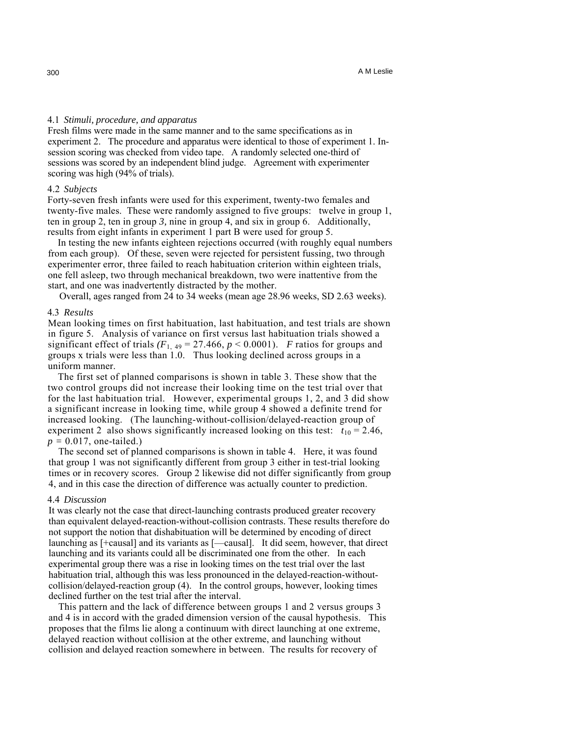#### 4.1 *Stimuli, procedure, and apparatus*

Fresh films were made in the same manner and to the same specifications as in experiment 2. The procedure and apparatus were identical to those of experiment 1. Insession scoring was checked from video tape. A randomly selected one-third of sessions was scored by an independent blind judge. Agreement with experimenter scoring was high (94% of trials).

# 4.2 *Subjects*

Forty-seven fresh infants were used for this experiment, twenty-two females and twenty-five males. These were randomly assigned to five groups: twelve in group 1, ten in group 2, ten in group *3,* nine in group 4, and six in group 6. Additionally, results from eight infants in experiment 1 part B were used for group 5.

In testing the new infants eighteen rejections occurred (with roughly equal numbers from each group). Of these, seven were rejected for persistent fussing, two through experimenter error, three failed to reach habituation criterion within eighteen trials, one fell asleep, two through mechanical breakdown, two were inattentive from the start, and one was inadvertently distracted by the mother.

Overall, ages ranged from 24 to 34 weeks (mean age 28.96 weeks, SD 2.63 weeks).

#### 4.3 *Results*

Mean looking times on first habituation, last habituation, and test trials are shown in figure 5. Analysis of variance on first versus last habituation trials showed a significant effect of trials  $(F_{1,49} = 27.466, p \lt 0.0001)$ . *F* ratios for groups and groups x trials were less than 1.0. Thus looking declined across groups in a uniform manner.

The first set of planned comparisons is shown in table 3. These show that the two control groups did not increase their looking time on the test trial over that for the last habituation trial. However, experimental groups 1, 2, and 3 did show a significant increase in looking time, while group 4 showed a definite trend for increased looking. (The launching-without-collision/delayed-reaction group of experiment 2 also shows significantly increased looking on this test:  $t_{10} = 2.46$ ,  $p = 0.017$ , one-tailed.)

The second set of planned comparisons is shown in table 4. Here, it was found that group 1 was not significantly different from group 3 either in test-trial looking times or in recovery scores. Group 2 likewise did not differ significantly from group 4, and in this case the direction of difference was actually counter to prediction.

#### 4.4 *Discussion*

It was clearly not the case that direct-launching contrasts produced greater recovery than equivalent delayed-reaction-without-collision contrasts. These results therefore do not support the notion that dishabituation will be determined by encoding of direct launching as [+causal] and its variants as [—causal]. It did seem, however, that direct launching and its variants could all be discriminated one from the other. In each experimental group there was a rise in looking times on the test trial over the last habituation trial, although this was less pronounced in the delayed-reaction-withoutcollision/delayed-reaction group (4). In the control groups, however, looking times declined further on the test trial after the interval.

This pattern and the lack of difference between groups 1 and 2 versus groups 3 and 4 is in accord with the graded dimension version of the causal hypothesis. This proposes that the films lie along a continuum with direct launching at one extreme, delayed reaction without collision at the other extreme, and launching without collision and delayed reaction somewhere in between. The results for recovery of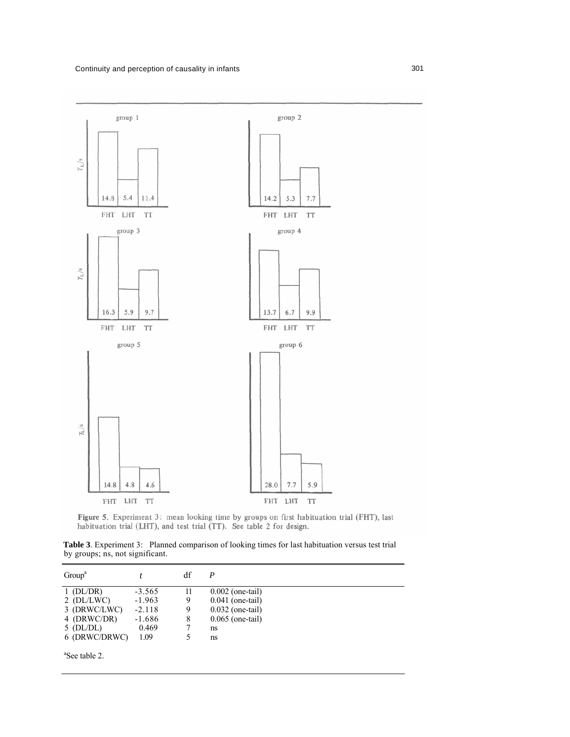



**Table 3**. Experiment 3: Planned comparison of looking times for last habituation versus test trial by groups; ns, not significant.

| $1$ (DL/DR)<br>$-3.565$<br>$0.002$ (one-tail)<br>11<br>$2$ (DL/LWC)<br>$0.041$ (one-tail)<br>$-1.963$<br>9                                                             |  |
|------------------------------------------------------------------------------------------------------------------------------------------------------------------------|--|
| 3 (DRWC/LWC)<br>$-2.118$<br>$0.032$ (one-tail)<br>9<br>4 (DRWC/DR)<br>$0.065$ (one-tail)<br>$-1.686$<br>8<br>$5$ (DL/DL)<br>0.469<br>ns<br>6 (DRWC/DRWC)<br>1.09<br>ns |  |

÷,

۰

a See table 2.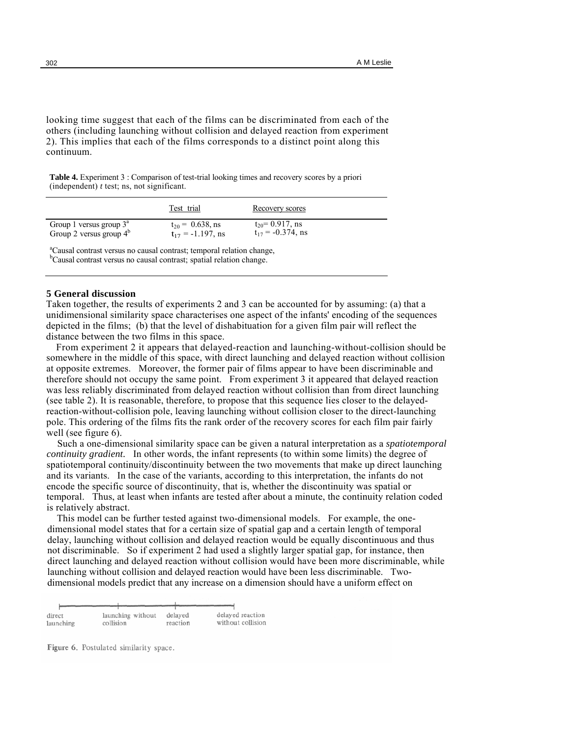looking time suggest that each of the films can be discriminated from each of the others (including launching without collision and delayed reaction from experiment 2). This implies that each of the films corresponds to a distinct point along this continuum.

**Table 4.** Experiment 3 : Comparison of test-trial looking times and recovery scores by a priori (independent) *t* test; ns, not significant.

|                            | Test trial             | Recovery scores        |
|----------------------------|------------------------|------------------------|
| Group 1 versus group $3^a$ | $t_{20}$ = 0.638, ns   | $t_{20}$ = 0.917, ns   |
| Group 2 versus group $4^b$ | $t_{17} = -1.197$ , ns | $t_{17} = -0.374$ , ns |

<sup>a</sup>Causal contrast versus no causal contrast; temporal relation change, <sup>b</sup>Causal contrast versus no causal contrast; spatial relation change.

# **5 General discussion**

Taken together, the results of experiments 2 and 3 can be accounted for by assuming: (a) that a unidimensional similarity space characterises one aspect of the infants' encoding of the sequences depicted in the films; (b) that the level of dishabituation for a given film pair will reflect the distance between the two films in this space.

From experiment 2 it appears that delayed-reaction and launching-without-collision should be somewhere in the middle of this space, with direct launching and delayed reaction without collision at opposite extremes. Moreover, the former pair of films appear to have been discriminable and therefore should not occupy the same point. From experiment 3 it appeared that delayed reaction was less reliably discriminated from delayed reaction without collision than from direct launching (see table 2). It is reasonable, therefore, to propose that this sequence lies closer to the delayedreaction-without-collision pole, leaving launching without collision closer to the direct-launching pole. This ordering of the films fits the rank order of the recovery scores for each film pair fairly well (see figure 6).

Such a one-dimensional similarity space can be given a natural interpretation as a *spatiotemporal continuity gradient.* In other words, the infant represents (to within some limits) the degree of spatiotemporal continuity/discontinuity between the two movements that make up direct launching and its variants. In the case of the variants, according to this interpretation, the infants do not encode the specific source of discontinuity, that is, whether the discontinuity was spatial or temporal. Thus, at least when infants are tested after about a minute, the continuity relation coded is relatively abstract.

This model can be further tested against two-dimensional models. For example, the onedimensional model states that for a certain size of spatial gap and a certain length of temporal delay, launching without collision and delayed reaction would be equally discontinuous and thus not discriminable. So if experiment 2 had used a slightly larger spatial gap, for instance, then direct launching and delayed reaction without collision would have been more discriminable, while launching without collision and delayed reaction would have been less discriminable. Twodimensional models predict that any increase on a dimension should have a uniform effect on

| direct    | launching without | delaved  | delayed reaction  |
|-----------|-------------------|----------|-------------------|
| launching | collision         | reaction | without collision |

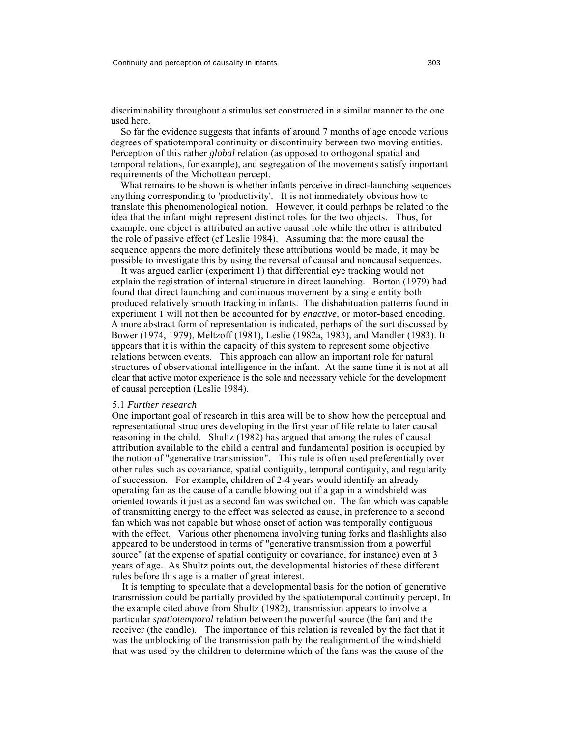discriminability throughout a stimulus set constructed in a similar manner to the one used here.

So far the evidence suggests that infants of around 7 months of age encode various degrees of spatiotemporal continuity or discontinuity between two moving entities. Perception of this rather *global* relation (as opposed to orthogonal spatial and temporal relations, for example), and segregation of the movements satisfy important requirements of the Michottean percept.

What remains to be shown is whether infants perceive in direct-launching sequences anything corresponding to 'productivity'. It is not immediately obvious how to translate this phenomenological notion. However, it could perhaps be related to the idea that the infant might represent distinct roles for the two objects. Thus, for example, one object is attributed an active causal role while the other is attributed the role of passive effect (cf Leslie 1984). Assuming that the more causal the sequence appears the more definitely these attributions would be made, it may be possible to investigate this by using the reversal of causal and noncausal sequences.

It was argued earlier (experiment 1) that differential eye tracking would not explain the registration of internal structure in direct launching. Borton (1979) had found that direct launching and continuous movement by a single entity both produced relatively smooth tracking in infants. The dishabituation patterns found in experiment 1 will not then be accounted for by *enactive,* or motor-based encoding. A more abstract form of representation is indicated, perhaps of the sort discussed by Bower (1974, 1979), Meltzoff (1981), Leslie (1982a, 1983), and Mandler (1983). It appears that it is within the capacity of this system to represent some objective relations between events. This approach can allow an important role for natural structures of observational intelligence in the infant. At the same time it is not at all clear that active motor experience is the sole and necessary vehicle for the development of causal perception (Leslie 1984).

# 5.1 *Further research*

One important goal of research in this area will be to show how the perceptual and representational structures developing in the first year of life relate to later causal reasoning in the child. Shultz (1982) has argued that among the rules of causal attribution available to the child a central and fundamental position is occupied by the notion of "generative transmission". This rule is often used preferentially over other rules such as covariance, spatial contiguity, temporal contiguity, and regularity of succession. For example, children of 2-4 years would identify an already operating fan as the cause of a candle blowing out if a gap in a windshield was oriented towards it just as a second fan was switched on. The fan which was capable of transmitting energy to the effect was selected as cause, in preference to a second fan which was not capable but whose onset of action was temporally contiguous with the effect. Various other phenomena involving tuning forks and flashlights also appeared to be understood in terms of "generative transmission from a powerful source" (at the expense of spatial contiguity or covariance, for instance) even at 3 years of age. As Shultz points out, the developmental histories of these different rules before this age is a matter of great interest.

It is tempting to speculate that a developmental basis for the notion of generative transmission could be partially provided by the spatiotemporal continuity percept. In the example cited above from Shultz (1982), transmission appears to involve a particular *spatiotemporal* relation between the powerful source (the fan) and the receiver (the candle). The importance of this relation is revealed by the fact that it was the unblocking of the transmission path by the realignment of the windshield that was used by the children to determine which of the fans was the cause of the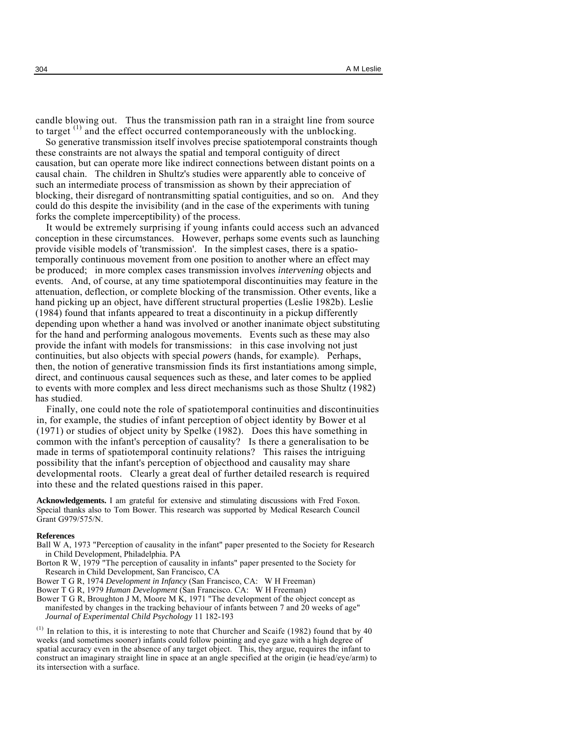candle blowing out. Thus the transmission path ran in a straight line from source to target  $(1)$  and the effect occurred contemporaneously with the unblocking.

So generative transmission itself involves precise spatiotemporal constraints though these constraints are not always the spatial and temporal contiguity of direct causation, but can operate more like indirect connections between distant points on a causal chain. The children in Shultz's studies were apparently able to conceive of such an intermediate process of transmission as shown by their appreciation of blocking, their disregard of nontransmitting spatial contiguities, and so on. And they could do this despite the invisibility (and in the case of the experiments with tuning forks the complete imperceptibility) of the process.

It would be extremely surprising if young infants could access such an advanced conception in these circumstances. However, perhaps some events such as launching provide visible models of 'transmission'. In the simplest cases, there is a spatiotemporally continuous movement from one position to another where an effect may be produced; in more complex cases transmission involves *intervening* objects and events. And, of course, at any time spatiotemporal discontinuities may feature in the attenuation, deflection, or complete blocking of the transmission. Other events, like a hand picking up an object, have different structural properties (Leslie 1982b). Leslie (1984) found that infants appeared to treat a discontinuity in a pickup differently depending upon whether a hand was involved or another inanimate object substituting for the hand and performing analogous movements. Events such as these may also provide the infant with models for transmissions: in this case involving not just continuities, but also objects with special *powers* (hands, for example). Perhaps, then, the notion of generative transmission finds its first instantiations among simple, direct, and continuous causal sequences such as these, and later comes to be applied to events with more complex and less direct mechanisms such as those Shultz (1982) has studied.

Finally, one could note the role of spatiotemporal continuities and discontinuities in, for example, the studies of infant perception of object identity by Bower et al (1971) or studies of object unity by Spelke (1982). Does this have something in common with the infant's perception of causality? Is there a generalisation to be made in terms of spatiotemporal continuity relations? This raises the intriguing possibility that the infant's perception of objecthood and causality may share developmental roots. Clearly a great deal of further detailed research is required into these and the related questions raised in this paper.

**Acknowledgements.** I am grateful for extensive and stimulating discussions with Fred Foxon. Special thanks also to Tom Bower. This research was supported by Medical Research Council Grant G979/575/N.

## **References**

- Ball W A, 1973 "Perception of causality in the infant" paper presented to the Society for Research in Child Development, Philadelphia. PA
- Borton R W, 1979 "The perception of causality in infants" paper presented to the Society for Research in Child Development, San Francisco, CA
- Bower T G R, 1974 *Development in Infancy* (San Francisco, CA: W H Freeman)
- Bower T G R, 1979 *Human Development* (San Francisco. CA: W H Freeman)
- Bower T G R, Broughton J M, Moore M K, 1971 "The development of the object concept as manifested by changes in the tracking behaviour of infants between 7 and 20 weeks of age" *Journal of Experimental Child Psychology* 11 182-193

<sup>(1)</sup> In relation to this, it is interesting to note that Churcher and Scaife (1982) found that by 40 weeks (and sometimes sooner) infants could follow pointing and eye gaze with a high degree of spatial accuracy even in the absence of any target object. This, they argue, requires the infant to construct an imaginary straight line in space at an angle specified at the origin (ie head/eye/arm) to its intersection with a surface.